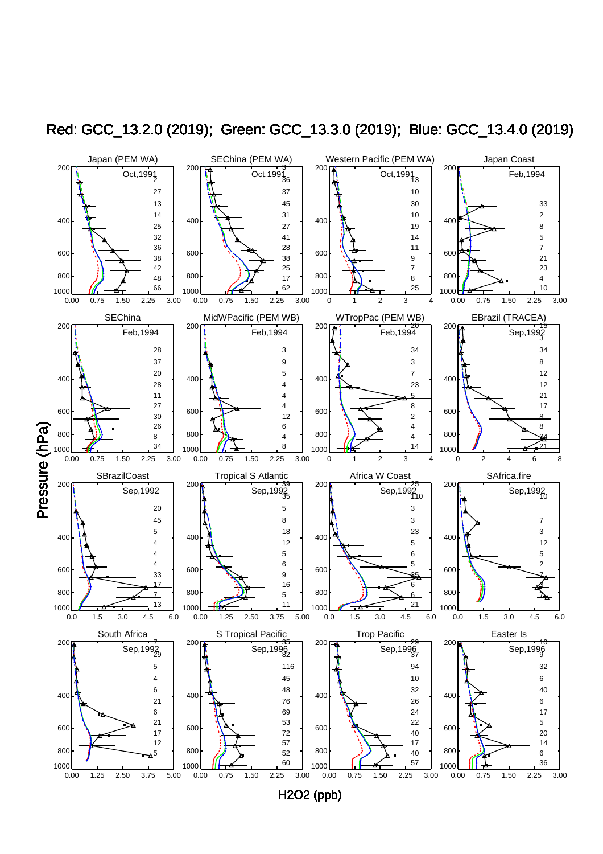

Red: GCC\_13.2.0 (2019); Green: GCC\_13.3.0 (2019); Blue: GCC\_13.4.0 (2019)

H2O2 (ppb)